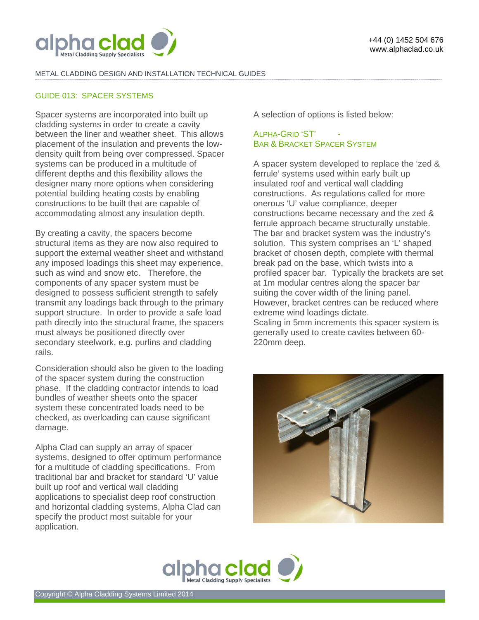

#### METAL CLADDING DESIGN AND INSTALLATION TECHNICAL GUIDES **-------------------------------------------------------------------------------------------------------------------------------------------------------------------------------------------------------------------------------------------------------------------------------------------------------------------------------------------------------------------------------------------------------**

### GUIDE 013: SPACER SYSTEMS

Spacer systems are incorporated into built up cladding systems in order to create a cavity between the liner and weather sheet. This allows placement of the insulation and prevents the lowdensity quilt from being over compressed. Spacer systems can be produced in a multitude of different depths and this flexibility allows the designer many more options when considering potential building heating costs by enabling constructions to be built that are capable of accommodating almost any insulation depth.

By creating a cavity, the spacers become structural items as they are now also required to support the external weather sheet and withstand any imposed loadings this sheet may experience, such as wind and snow etc. Therefore, the components of any spacer system must be designed to possess sufficient strength to safely transmit any loadings back through to the primary support structure. In order to provide a safe load path directly into the structural frame, the spacers must always be positioned directly over secondary steelwork, e.g. purlins and cladding rails.

Consideration should also be given to the loading of the spacer system during the construction phase. If the cladding contractor intends to load bundles of weather sheets onto the spacer system these concentrated loads need to be checked, as overloading can cause significant damage.

Alpha Clad can supply an array of spacer systems, designed to offer optimum performance for a multitude of cladding specifications. From traditional bar and bracket for standard 'U' value built up roof and vertical wall cladding applications to specialist deep roof construction and horizontal cladding systems, Alpha Clad can specify the product most suitable for your application.

A selection of options is listed below:

# ALPHA-GRID 'ST' BAR & BRACKET SPACER SYSTEM

A spacer system developed to replace the 'zed & ferrule' systems used within early built up insulated roof and vertical wall cladding constructions. As regulations called for more onerous 'U' value compliance, deeper constructions became necessary and the zed & ferrule approach became structurally unstable. The bar and bracket system was the industry's solution. This system comprises an 'L' shaped bracket of chosen depth, complete with thermal break pad on the base, which twists into a profiled spacer bar. Typically the brackets are set at 1m modular centres along the spacer bar suiting the cover width of the lining panel. However, bracket centres can be reduced where extreme wind loadings dictate. Scaling in 5mm increments this spacer system is generally used to create cavites between 60- 220mm deep.